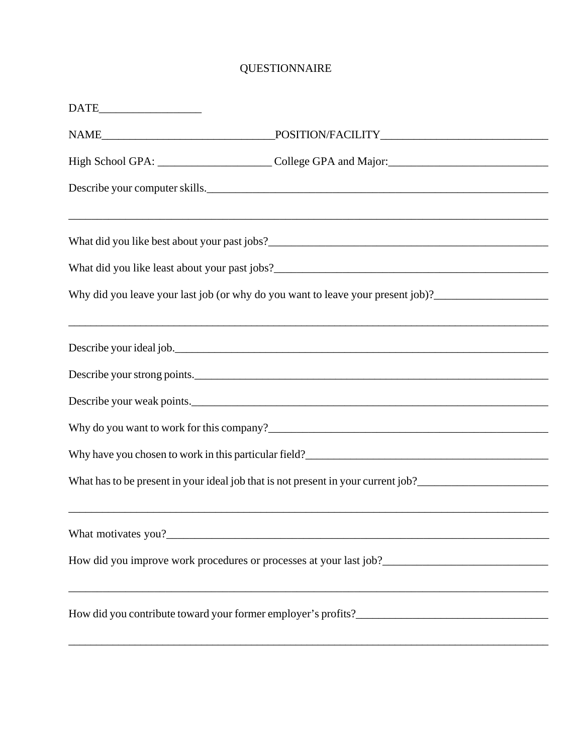## QUESTIONNAIRE

| $\begin{tabular}{c} \bf{DATE}\hspace{1.5cm}\color{red}{\end{tabular}}$ |                                                                                                                                                                                                                                        |
|------------------------------------------------------------------------|----------------------------------------------------------------------------------------------------------------------------------------------------------------------------------------------------------------------------------------|
|                                                                        |                                                                                                                                                                                                                                        |
|                                                                        |                                                                                                                                                                                                                                        |
|                                                                        | Describe your computer skills.                                                                                                                                                                                                         |
|                                                                        |                                                                                                                                                                                                                                        |
|                                                                        |                                                                                                                                                                                                                                        |
|                                                                        | Why did you leave your last job (or why do you want to leave your present job)?_____________________                                                                                                                                   |
|                                                                        | ,我们也不能在这里的时候,我们也不能在这里的时候,我们也不能在这里的时候,我们也不能会在这里的时候,我们也不能会在这里的时候,我们也不能会在这里的时候,我们也不能<br>Describe your ideal job.                                                                                                                          |
|                                                                        | Describe your strong points.                                                                                                                                                                                                           |
|                                                                        | Describe your weak points.                                                                                                                                                                                                             |
|                                                                        |                                                                                                                                                                                                                                        |
|                                                                        | Why have you chosen to work in this particular field?<br><u>Letting and the contract of the set of the set of the set of the set of the set of the set of the set of the set of the set of the set of the set of the set of the se</u> |
|                                                                        |                                                                                                                                                                                                                                        |
|                                                                        |                                                                                                                                                                                                                                        |
|                                                                        |                                                                                                                                                                                                                                        |
|                                                                        |                                                                                                                                                                                                                                        |
|                                                                        |                                                                                                                                                                                                                                        |